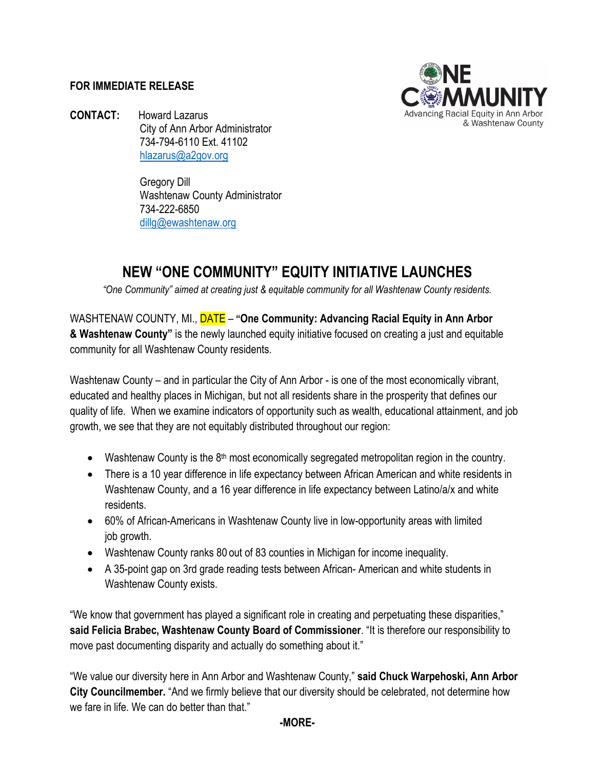## **FOR IMMEDIATE RELEASE**



**CONTACT:** Howard Lazarus City of Ann Arbor Administrator 734-794-6110 Ext. 41102 [hlazarus@a2gov.org](mailto:hlazarus@a2gov.org)

> Gregory Dill Washtenaw County Administrator 734-222-6850 [dillg@ewashtenaw.org](mailto:dillg@ewashtenaw.org)

## **NEW "ONE COMMUNITY" EQUITY INITIATIVE LAUNCHES**

*"One Community" aimed at creating just & equitable community for all Washtenaw County residents.*

WASHTENAW COUNTY, MI., DATE – **"One Community: Advancing Racial Equity in Ann Arbor & Washtenaw County"** is the newly launched equity initiative focused on creating a just and equitable community for all Washtenaw County residents.

Washtenaw County – and in particular the City of Ann Arbor - is one of the most economically vibrant, educated and healthy places in Michigan, but not all residents share in the prosperity that defines our quality of life. When we examine indicators of opportunity such as wealth, educational attainment, and job growth, we see that they are not equitably distributed throughout our region:

- Washtenaw County is the  $8<sup>th</sup>$  most economically segregated metropolitan region in the country.
- There is a 10 year difference in life expectancy between African American and white residents in Washtenaw County, and a 16 year difference in life expectancy between Latino/a/x and white residents.
- 60% of African-Americans in Washtenaw County live in low-opportunity areas with limited job growth.
- Washtenaw County ranks 80 out of 83 counties in Michigan for income inequality.
- A 35-point gap on 3rd grade reading tests between African- American and white students in Washtenaw County exists.

"We know that government has played a significant role in creating and perpetuating these disparities," **said Felicia Brabec, Washtenaw County Board of Commissioner**. "It is therefore our responsibility to move past documenting disparity and actually do something about it."

"We value our diversity here in Ann Arbor and Washtenaw County," **said Chuck Warpehoski, Ann Arbor City Councilmember.** "And we firmly believe that our diversity should be celebrated, not determine how we fare in life. We can do better than that."

**-MORE-**